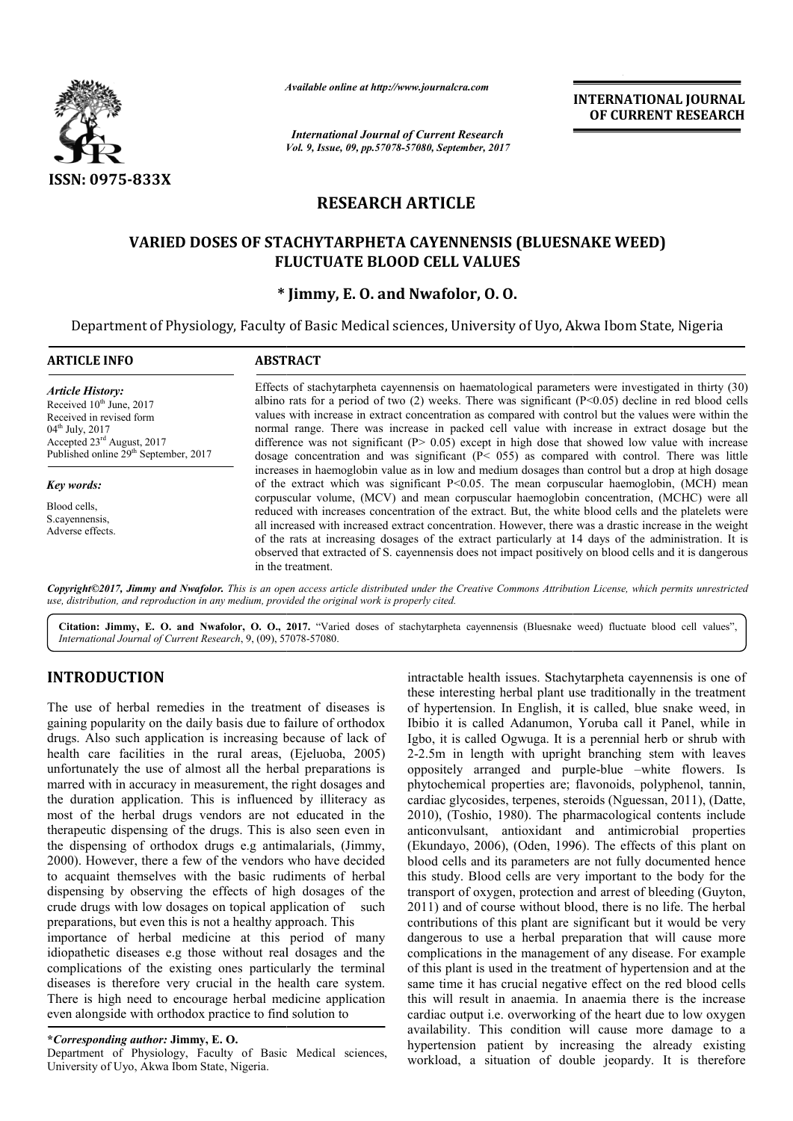

*Available online at http://www.journal http://www.journalcra.com*

*Vol. 9, Issue, 09, pp.57078-57080, September, 2017 International Journal of Current Research*

**INTERNATIONAL JOURNAL OF CURRENT RESEARCH** 

# **RESEARCH ARTICLE**

## **VARIED DOSES OF STACHYTARPHETA CAYENNENSIS (BLUESNAKE WEED) VARIED DOSES (BLUESNAKE WEED) FLUCTUATE BLOOD CELL VALUES**

## **\* Jimmy, E. O. and Nwafolor, O. O.**

Department of Physiology, Faculty of Basic Medical sciences, University of Uyo, Akwa Ibom State, Nigeria Nigeria

| <b>ARTICLE INFO</b>                                                                                                                                                                                                       | <b>ABSTRACT</b>                                                                                                                                                                                                                                                                                                                                                                                                                                                                                                                                                                                                                                                                                                                                               |  |  |  |  |
|---------------------------------------------------------------------------------------------------------------------------------------------------------------------------------------------------------------------------|---------------------------------------------------------------------------------------------------------------------------------------------------------------------------------------------------------------------------------------------------------------------------------------------------------------------------------------------------------------------------------------------------------------------------------------------------------------------------------------------------------------------------------------------------------------------------------------------------------------------------------------------------------------------------------------------------------------------------------------------------------------|--|--|--|--|
| <b>Article History:</b><br>Received 10 <sup>th</sup> June, 2017<br>Received in revised form<br>$04^{\text{th}}$ July, 2017<br>Accepted 23 <sup>rd</sup> August, 2017<br>Published online 29 <sup>th</sup> September, 2017 | Effects of stachytarpheta cayennensis on haematological parameters were investigated in thirty (30)<br>albino rats for a period of two (2) weeks. There was significant $(P<0.05)$ decline in red blood cells<br>values with increase in extract concentration as compared with control but the values were within the<br>normal range. There was increase in packed cell value with increase in extract dosage but the<br>difference was not significant $(P > 0.05)$ except in high dose that showed low value with increase<br>dosage concentration and was significant $(P< 055)$ as compared with control. There was little                                                                                                                              |  |  |  |  |
| Key words:<br>Blood cells,<br>S.cavennensis.<br>Adverse effects.                                                                                                                                                          | increases in haemoglobin value as in low and medium dosages than control but a drop at high dosage<br>of the extract which was significant $P<0.05$ . The mean corpuscular haemoglobin, (MCH) mean<br>corpuscular volume, (MCV) and mean corpuscular haemoglobin concentration, (MCHC) were all<br>reduced with increases concentration of the extract. But, the white blood cells and the platelets were<br>all increased with increased extract concentration. However, there was a drastic increase in the weight<br>of the rats at increasing dosages of the extract particularly at 14 days of the administration. It is<br>observed that extracted of S. cayennensis does not impact positively on blood cells and it is dangerous<br>in the treatment. |  |  |  |  |

*Copyright©2017, Jimmy and Nwafolor. This is an open access article distributed under the Creative Commons Att Attribution License, which ribution License, permits unrestricted use, distribution, and reproduction in any medium, provided the original work is properly cited.*

Citation: Jimmy, E. O. and Nwafolor, O. O., 2017. "Varied doses of stachytarpheta cayennensis (Bluesnake weed) fluctuate blood cell values", *International Journal of Current Research*, 9, (09), 57078 7078-57080.

## **INTRODUCTION**

The use of herbal remedies in the treatment of diseases is gaining popularity on the daily basis due to failure of orthodox drugs. Also such application is increasing because of lack of health care facilities in the rural areas. (Ejeluoba, 2005) unfortunately the use of almost all the herbal preparations is marred with in accuracy in measurement, the right dosages and the duration application. This is influenced by illiteracy as most of the herbal drugs vendors are not educated in the therapeutic dispensing of the drugs. This is also seen even in the dispensing of orthodox drugs e.g antimalarials, (Jimmy, 2000). However, there a few of the vendors who have decided to acquaint themselves with the basic rudiments of herbal dispensing by observing the effects of high dosages of the crude drugs with low dosages on topical application of preparations, but even this is not a healthy approach. This importance of herbal medicine at this period of many idiopathetic diseases e.g those without real dosages and the complications of the existing ones particularly the terminal diseases is therefore very crucial in the health care system. There is high need to encourage herbal medicine application even alongside with orthodox practice to find solution to ion. This is influenced by illiteracy as<br>drugs vendors are not educated in the<br>g of the drugs. This is also seen even in<br>thodox drugs e.g antimalarials, (Jimmy,<br>e a few of the vendors who have decided<br>res with the basic ru

**\****Corresponding author:* **Jimmy, E. O.** 

Department of Physiology, Faculty of Basic Medical sciences, University of Uyo, Akwa Ibom State, Nigeria.

intractable health issues. Stachytarpheta cayennensis is one of these interesting herbal plant use traditionally in the treatment of hypertension. In English, it is called, blue snake weed, in Ibibio it is called Adanumon, Yoruba call it Panel, while in Igbo, it is called Ogwuga. It is a perennial herb or shrub with 2-2.5m in length with upright branching stem with leaves oppositely arranged and purple-blue –white flowers. Is phytochemical properties are; flavonoids, polyphenol, tannin, cardiac glycosides, terpenes, steroids (Nguessan, 2011), (Datte, 2010), (Toshio, 1980). The pharmacological contents include phytochemical properties are; flavonoids, polyphenol, tannin, cardiac glycosides, terpenes, steroids (Nguessan, 2011), (Datte, 2010), (Toshio, 1980). The pharmacological contents include anticonvulsant, antioxidant and ant (Ekundayo, 2006), (Oden, 1996). The effects of this plant on blood cells and its parameters are not fully documented hence this study. Blood cells are very important to the body for the transport of oxygen, protection and arrest of bleeding (Guyton, 2011) and of course without blood, there is no life. The herbal contributions of this plant are significant but it would be very dangerous to use a herbal preparation that will cause more complications in the management of any disease. For example of this plant is used in the treatment of hypertension and at the same time it has crucial negative effect on the red blood cells this will result in anaemia. In anaemia there is the increase cardiac output i.e. overworking of the heart due to low oxygen availability. This condition will cause more damage to a this will result in anaemia. In anaemia there is the increase cardiac output i.e. overworking of the heart due to low oxygen availability. This condition will cause more damage to a hypertension patient by increasing the a workload, a situation of double jeopardy. It is therefore ntractable health issues. Stachytarpheta cayennensis is one of<br>hese interesting herbal plant use traditionally in the treatment<br>of hypertension. In English, it is called, blue snake weed, in<br>bibio it is called Adanumon, Yo are and arrest of bleeding (Guyton, and of course without blood, there is no life. The herbal vultions of this plant are significant but it would be very ous to use a herbal preparation that will cause more cations in the management of any disease. For example plant is used in the treatment of hypertension and at the lime it has crucial negative effect on the red blood cell **Example 18**<br> **Example 10**<br> **EXECARCH**<br> **EXECARCH**<br> **EXECARCH**<br> **EXECARCH**<br> **EXECARCH**<br> **EXECARCH**<br> **EXECARCH**<br> **EXECARCH**<br> **EXECARCH**<br> **EXECARCH**<br> **EXECARCH**<br> **EXECARCH**<br> **EXECARCH**<br> **EXECARCH**<br> **EXECARCH**<br> **EXECARCH**<br> **E**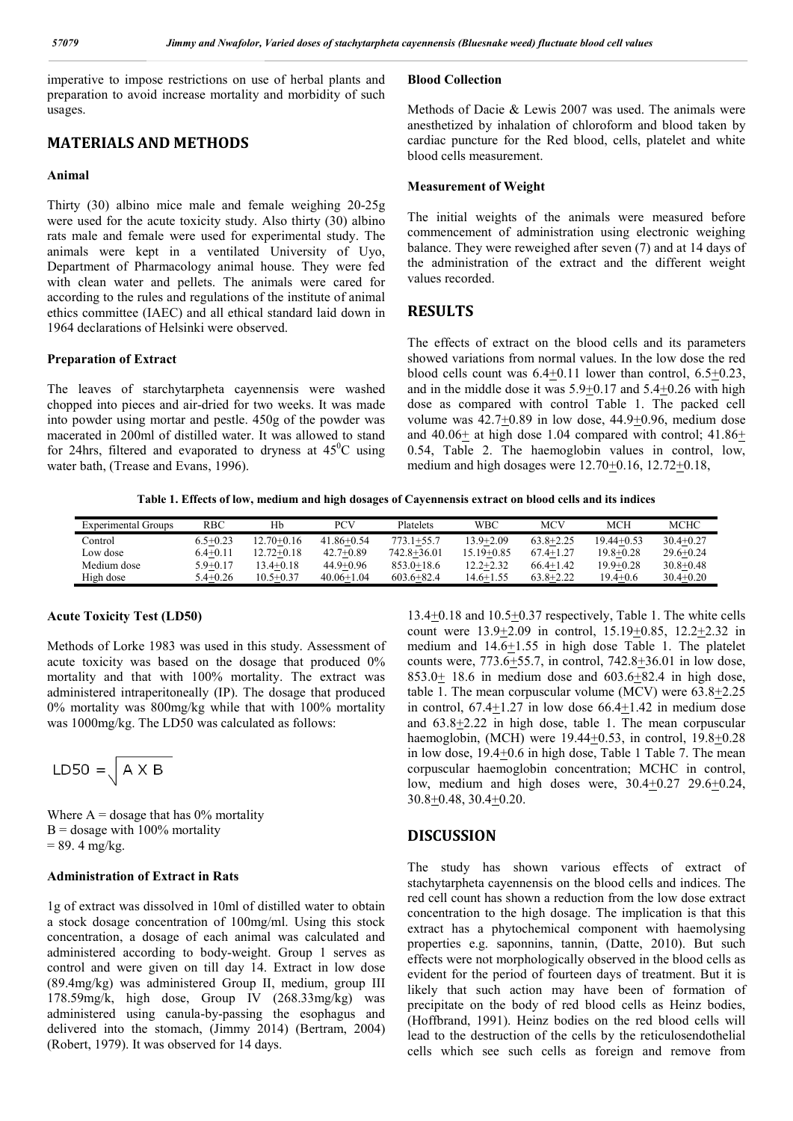imperative to impose restrictions on use of herbal plants and preparation to avoid increase mortality and morbidity of such usages.

## **MATERIALS AND METHODS**

#### **Animal**

Thirty (30) albino mice male and female weighing 20-25g were used for the acute toxicity study. Also thirty (30) albino rats male and female were used for experimental study. The animals were kept in a ventilated University of Uyo, Department of Pharmacology animal house. They were fed with clean water and pellets. The animals were cared for according to the rules and regulations of the institute of animal ethics committee (IAEC) and all ethical standard laid down in 1964 declarations of Helsinki were observed.

#### **Preparation of Extract**

The leaves of starchytarpheta cayennensis were washed chopped into pieces and air-dried for two weeks. It was made into powder using mortar and pestle. 450g of the powder was macerated in 200ml of distilled water. It was allowed to stand for 24hrs, filtered and evaporated to dryness at  $45^{\circ}$ C using water bath, (Trease and Evans, 1996).

### **Blood Collection**

Methods of Dacie & Lewis 2007 was used. The animals were anesthetized by inhalation of chloroform and blood taken by cardiac puncture for the Red blood, cells, platelet and white blood cells measurement.

#### **Measurement of Weight**

The initial weights of the animals were measured before commencement of administration using electronic weighing balance. They were reweighed after seven (7) and at 14 days of the administration of the extract and the different weight values recorded.

## **RESULTS**

The effects of extract on the blood cells and its parameters showed variations from normal values. In the low dose the red blood cells count was  $6.4+0.11$  lower than control,  $6.5+0.23$ , and in the middle dose it was 5.9+0.17 and 5.4+0.26 with high dose as compared with control Table 1. The packed cell volume was  $42.7 \pm 0.89$  in low dose,  $44.9 \pm 0.96$ , medium dose and  $40.06\pm$  at high dose 1.04 compared with control;  $41.86\pm$ 0.54, Table 2. The haemoglobin values in control, low, medium and high dosages were  $12.70 \pm 0.16$ ,  $12.72 \pm 0.18$ ,

**Table 1. Effects of low, medium and high dosages of Cayennensis extract on blood cells and its indices**

| Experimental Groups | RBC          | Hb             | PCV            | Platelets      | WBC           | MCV           | MCH           | <b>MCHC</b>   |
|---------------------|--------------|----------------|----------------|----------------|---------------|---------------|---------------|---------------|
| Control             | $6.5 + 0.23$ | $12.70 + 0.16$ | $41.86 + 0.54$ | $773.1 + 55.7$ | 13.9+2.09     | $63.8 + 2.25$ | 19.44+0.53    | $30.4 + 0.27$ |
| Low dose            | $6.4 + 0.11$ | 12.72+0.18     | $42.7+0.89$    | 742.8+36.01    | 15.19+0.85    | $67.4 + 1.27$ | $19.8 + 0.28$ | $29.6 + 0.24$ |
| Medium dose         | $5.9 + 0.17$ | $3.4 + 0.18$   | $44.9 + 0.96$  | $853.0 + 18.6$ | $12.2 + 2.32$ | $66.4+1.42$   | $19.9 + 0.28$ | $30.8 + 0.48$ |
| High dose           | $5.4 + 0.26$ | $10.5 + 0.37$  | $40.06 + 1.04$ | $603.6 + 82.4$ | 14.6+1.55     | $63.8 + 2.22$ | $19.4 + 0.6$  | $30.4 + 0.20$ |

#### **Acute Toxicity Test (LD50)**

Methods of Lorke 1983 was used in this study. Assessment of acute toxicity was based on the dosage that produced 0% mortality and that with 100% mortality. The extract was administered intraperitoneally (IP). The dosage that produced 0% mortality was 800mg/kg while that with 100% mortality was 1000mg/kg. The LD50 was calculated as follows:

$$
LDS0 = \sqrt{A \times B}
$$

Where  $A =$  dosage that has 0% mortality  $B =$  dosage with 100% mortality  $= 89.4$  mg/kg.

#### **Administration of Extract in Rats**

1g of extract was dissolved in 10ml of distilled water to obtain a stock dosage concentration of 100mg/ml. Using this stock concentration, a dosage of each animal was calculated and administered according to body-weight. Group 1 serves as control and were given on till day 14. Extract in low dose (89.4mg/kg) was administered Group II, medium, group III 178.59mg/k, high dose, Group IV (268.33mg/kg) was administered using canula-by-passing the esophagus and delivered into the stomach, (Jimmy 2014) (Bertram, 2004) (Robert, 1979). It was observed for 14 days.

13.4+0.18 and 10.5+0.37 respectively, Table 1. The white cells count were 13.9+2.09 in control, 15.19+0.85, 12.2+2.32 in medium and  $14.6 \pm 1.55$  in high dose Table 1. The platelet counts were, 773.6+55.7, in control, 742.8+36.01 in low dose, 853.0 $\pm$  18.6 in medium dose and 603.6 $\pm$ 82.4 in high dose, table 1. The mean corpuscular volume (MCV) were  $63.8 \pm 2.25$ in control, 67.4+1.27 in low dose 66.4+1.42 in medium dose and  $63.8 \pm 2.22$  in high dose, table 1. The mean corpuscular haemoglobin,  $(MCH)$  were 19.44+0.53, in control,  $19.8+0.28$ in low dose, 19.4+0.6 in high dose, Table 1 Table 7. The mean corpuscular haemoglobin concentration; MCHC in control, low, medium and high doses were, 30.4+0.27 29.6+0.24, 30.8+0.48, 30.4+0.20.

### **DISCUSSION**

The study has shown various effects of extract of stachytarpheta cayennensis on the blood cells and indices. The red cell count has shown a reduction from the low dose extract concentration to the high dosage. The implication is that this extract has a phytochemical component with haemolysing properties e.g. saponnins, tannin, (Datte, 2010). But such effects were not morphologically observed in the blood cells as evident for the period of fourteen days of treatment. But it is likely that such action may have been of formation of precipitate on the body of red blood cells as Heinz bodies, (Hoffbrand, 1991). Heinz bodies on the red blood cells will lead to the destruction of the cells by the reticulosendothelial cells which see such cells as foreign and remove from